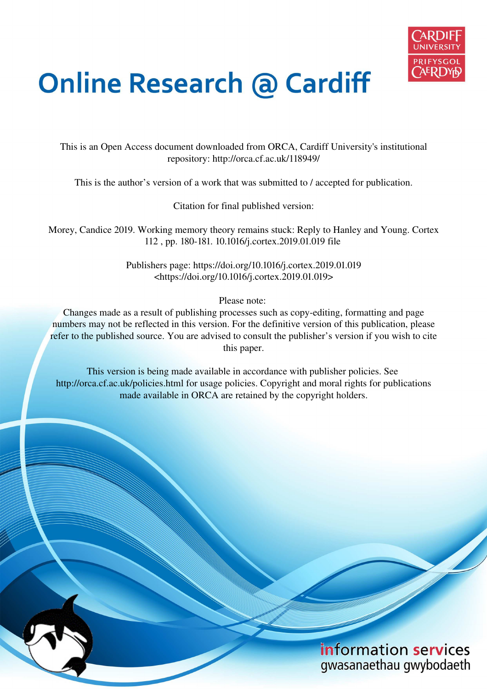

## **Online Research @ Cardiff**

This is an Open Access document downloaded from ORCA, Cardiff University's institutional repository: http://orca.cf.ac.uk/118949/

This is the author's version of a work that was submitted to / accepted for publication.

Citation for final published version:

Morey, Candice 2019. Working memory theory remains stuck: Reply to Hanley and Young. Cortex 112 , pp. 180-181. 10.1016/j.cortex.2019.01.019 file

> Publishers page: https://doi.org/10.1016/j.cortex.2019.01.019 <https://doi.org/10.1016/j.cortex.2019.01.019>

> > Please note:

Changes made as a result of publishing processes such as copy-editing, formatting and page numbers may not be reflected in this version. For the definitive version of this publication, please refer to the published source. You are advised to consult the publisher's version if you wish to cite this paper.

This version is being made available in accordance with publisher policies. See http://orca.cf.ac.uk/policies.html for usage policies. Copyright and moral rights for publications made available in ORCA are retained by the copyright holders.

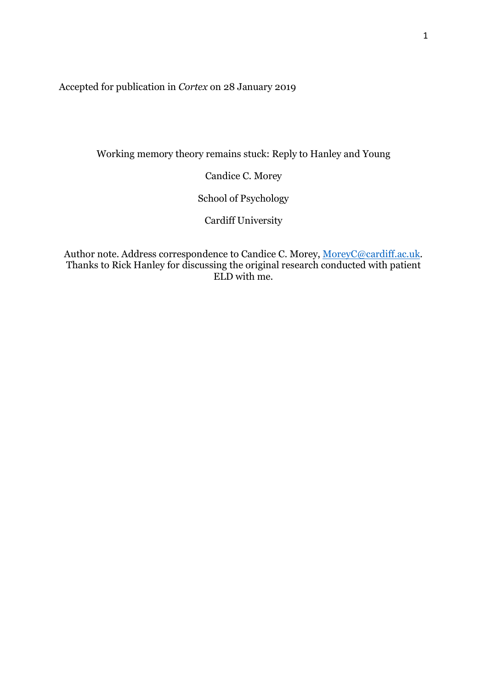Accepted for publication in *Cortex* on 28 January 2019

Working memory theory remains stuck: Reply to Hanley and Young

Candice C. Morey

School of Psychology

Cardiff University

Author note. Address correspondence to Candice C. Morey, MoreyC@cardiff.ac.uk. Thanks to Rick Hanley for discussing the original research conducted with patient ELD with me.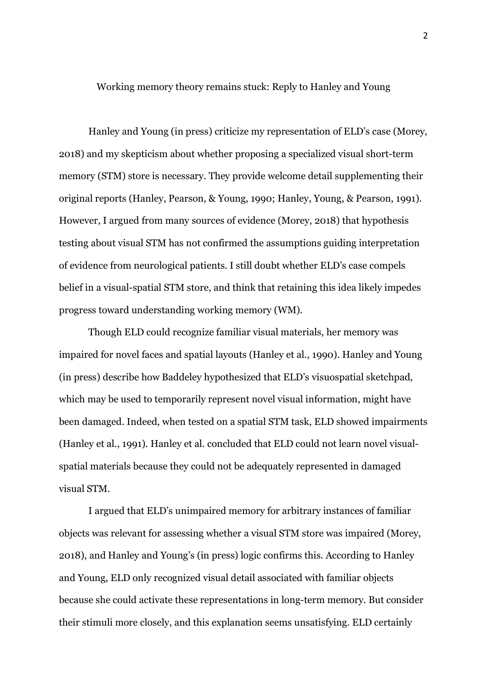Working memory theory remains stuck: Reply to Hanley and Young

Hanley and Young (in press) criticize my representation of ELD's case (Morey, 2018) and my skepticism about whether proposing a specialized visual short-term memory (STM) store is necessary. They provide welcome detail supplementing their original reports (Hanley, Pearson, & Young, 1990; Hanley, Young, & Pearson, 1991). However, I argued from many sources of evidence (Morey, 2018) that hypothesis testing about visual STM has not confirmed the assumptions guiding interpretation of evidence from neurological patients. I still doubt whether ELD's case compels belief in a visual-spatial STM store, and think that retaining this idea likely impedes progress toward understanding working memory (WM).

Though ELD could recognize familiar visual materials, her memory was impaired for novel faces and spatial layouts (Hanley et al., 1990). Hanley and Young (in press) describe how Baddeley hypothesized that ELD's visuospatial sketchpad, which may be used to temporarily represent novel visual information, might have been damaged. Indeed, when tested on a spatial STM task, ELD showed impairments (Hanley et al., 1991). Hanley et al. concluded that ELD could not learn novel visualspatial materials because they could not be adequately represented in damaged visual STM.

I argued that ELD's unimpaired memory for arbitrary instances of familiar objects was relevant for assessing whether a visual STM store was impaired (Morey, 2018), and Hanley and Young's (in press) logic confirms this. According to Hanley and Young, ELD only recognized visual detail associated with familiar objects because she could activate these representations in long-term memory. But consider their stimuli more closely, and this explanation seems unsatisfying. ELD certainly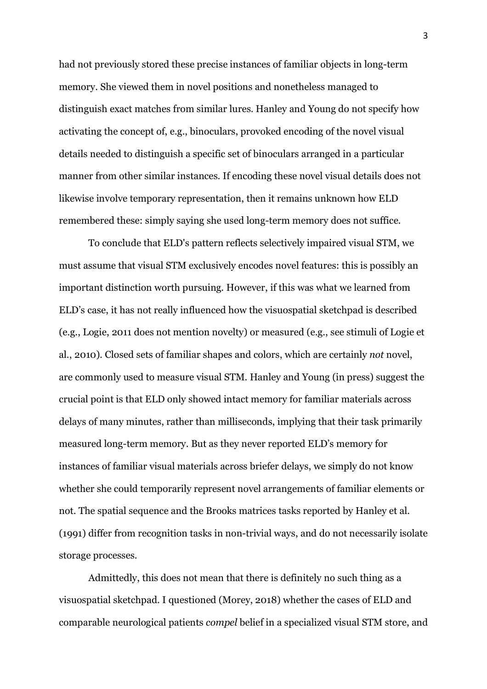had not previously stored these precise instances of familiar objects in long-term memory. She viewed them in novel positions and nonetheless managed to distinguish exact matches from similar lures. Hanley and Young do not specify how activating the concept of, e.g., binoculars, provoked encoding of the novel visual details needed to distinguish a specific set of binoculars arranged in a particular manner from other similar instances. If encoding these novel visual details does not likewise involve temporary representation, then it remains unknown how ELD remembered these: simply saying she used long-term memory does not suffice.

To conclude that ELD's pattern reflects selectively impaired visual STM, we must assume that visual STM exclusively encodes novel features: this is possibly an important distinction worth pursuing. However, if this was what we learned from ELD's case, it has not really influenced how the visuospatial sketchpad is described (e.g., Logie, 2011 does not mention novelty) or measured (e.g., see stimuli of Logie et al., 2010). Closed sets of familiar shapes and colors, which are certainly *not* novel, are commonly used to measure visual STM. Hanley and Young (in press) suggest the crucial point is that ELD only showed intact memory for familiar materials across delays of many minutes, rather than milliseconds, implying that their task primarily measured long-term memory. But as they never reported ELD's memory for instances of familiar visual materials across briefer delays, we simply do not know whether she could temporarily represent novel arrangements of familiar elements or not. The spatial sequence and the Brooks matrices tasks reported by Hanley et al. (1991) differ from recognition tasks in non-trivial ways, and do not necessarily isolate storage processes.

Admittedly, this does not mean that there is definitely no such thing as a visuospatial sketchpad. I questioned (Morey, 2018) whether the cases of ELD and comparable neurological patients *compel* belief in a specialized visual STM store, and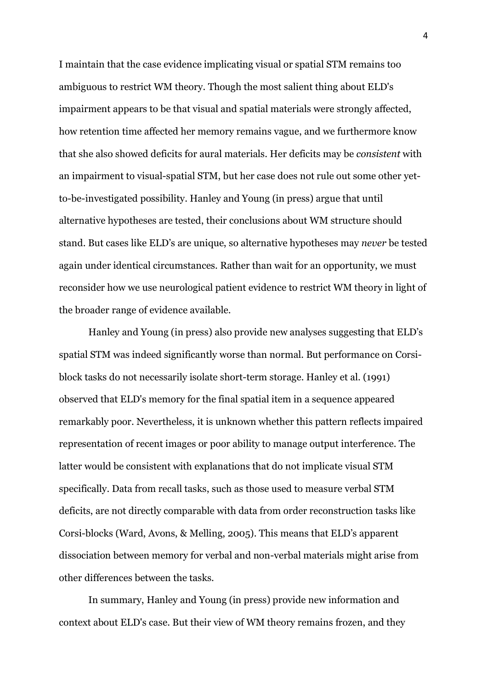I maintain that the case evidence implicating visual or spatial STM remains too ambiguous to restrict WM theory. Though the most salient thing about ELD's impairment appears to be that visual and spatial materials were strongly affected, how retention time affected her memory remains vague, and we furthermore know that she also showed deficits for aural materials. Her deficits may be *consistent* with an impairment to visual-spatial STM, but her case does not rule out some other yetto-be-investigated possibility. Hanley and Young (in press) argue that until alternative hypotheses are tested, their conclusions about WM structure should stand. But cases like ELD's are unique, so alternative hypotheses may *never* be tested again under identical circumstances. Rather than wait for an opportunity, we must reconsider how we use neurological patient evidence to restrict WM theory in light of the broader range of evidence available.

Hanley and Young (in press) also provide new analyses suggesting that ELD's spatial STM was indeed significantly worse than normal. But performance on Corsiblock tasks do not necessarily isolate short-term storage. Hanley et al. (1991) observed that ELD's memory for the final spatial item in a sequence appeared remarkably poor. Nevertheless, it is unknown whether this pattern reflects impaired representation of recent images or poor ability to manage output interference. The latter would be consistent with explanations that do not implicate visual STM specifically. Data from recall tasks, such as those used to measure verbal STM deficits, are not directly comparable with data from order reconstruction tasks like Corsi-blocks (Ward, Avons, & Melling, 2005). This means that ELD's apparent dissociation between memory for verbal and non-verbal materials might arise from other differences between the tasks.

In summary, Hanley and Young (in press) provide new information and context about ELD's case. But their view of WM theory remains frozen, and they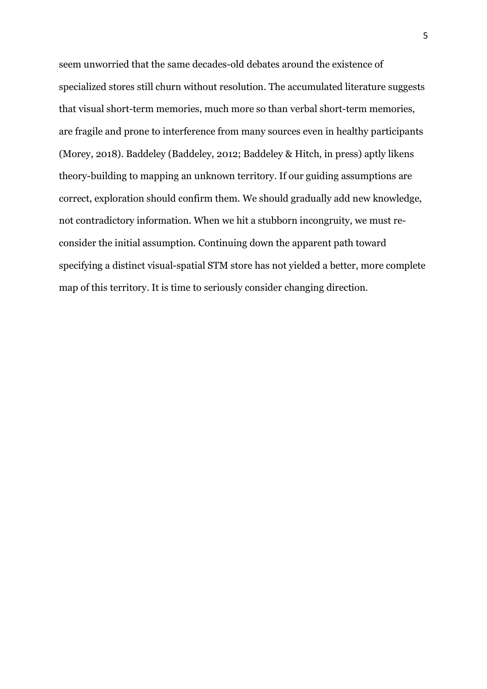seem unworried that the same decades-old debates around the existence of specialized stores still churn without resolution. The accumulated literature suggests that visual short-term memories, much more so than verbal short-term memories, are fragile and prone to interference from many sources even in healthy participants (Morey, 2018). Baddeley (Baddeley, 2012; Baddeley & Hitch, in press) aptly likens theory-building to mapping an unknown territory. If our guiding assumptions are correct, exploration should confirm them. We should gradually add new knowledge, not contradictory information. When we hit a stubborn incongruity, we must reconsider the initial assumption. Continuing down the apparent path toward specifying a distinct visual-spatial STM store has not yielded a better, more complete map of this territory. It is time to seriously consider changing direction.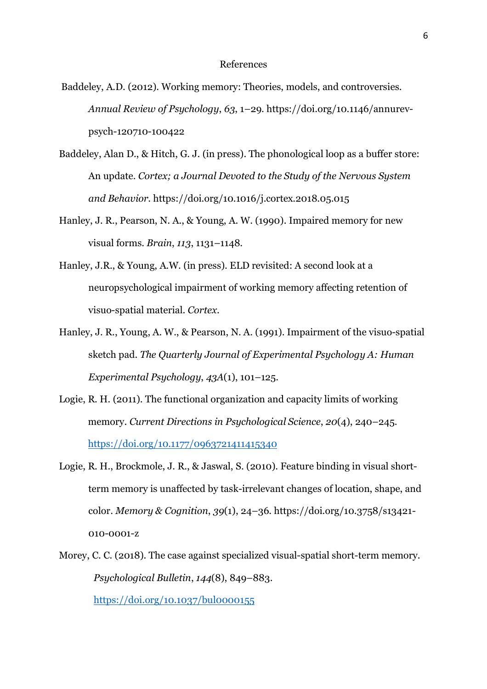## References

- Baddeley, A.D. (2012). Working memory: Theories, models, and controversies. *Annual Review of Psychology*, *63*, 1–29. https://doi.org/10.1146/annurevpsych-120710-100422
- Baddeley, Alan D., & Hitch, G. J. (in press). The phonological loop as a buffer store: An update. *Cortex; a Journal Devoted to the Study of the Nervous System and Behavior*. https://doi.org/10.1016/j.cortex.2018.05.015
- Hanley, J. R., Pearson, N. A., & Young, A. W. (1990). Impaired memory for new visual forms. *Brain*, *113*, 1131–1148.
- Hanley, J.R., & Young, A.W. (in press). ELD revisited: A second look at a neuropsychological impairment of working memory affecting retention of visuo-spatial material. *Cortex*.
- Hanley, J. R., Young, A. W., & Pearson, N. A. (1991). Impairment of the visuo-spatial sketch pad. *The Quarterly Journal of Experimental Psychology A: Human Experimental Psychology*, *43A*(1), 101–125.
- Logie, R. H. (2011). The functional organization and capacity limits of working memory. *Current Directions in Psychological Science*, *20*(4), 240–245. https://doi.org/10.1177/0963721411415340
- Logie, R. H., Brockmole, J. R., & Jaswal, S. (2010). Feature binding in visual shortterm memory is unaffected by task-irrelevant changes of location, shape, and color. *Memory & Cognition*, *39*(1), 24–36. https://doi.org/10.3758/s13421- 010-0001-z
- Morey, C. C. (2018). The case against specialized visual-spatial short-term memory. *Psychological Bulletin*, *144*(8), 849–883.

https://doi.org/10.1037/bul0000155